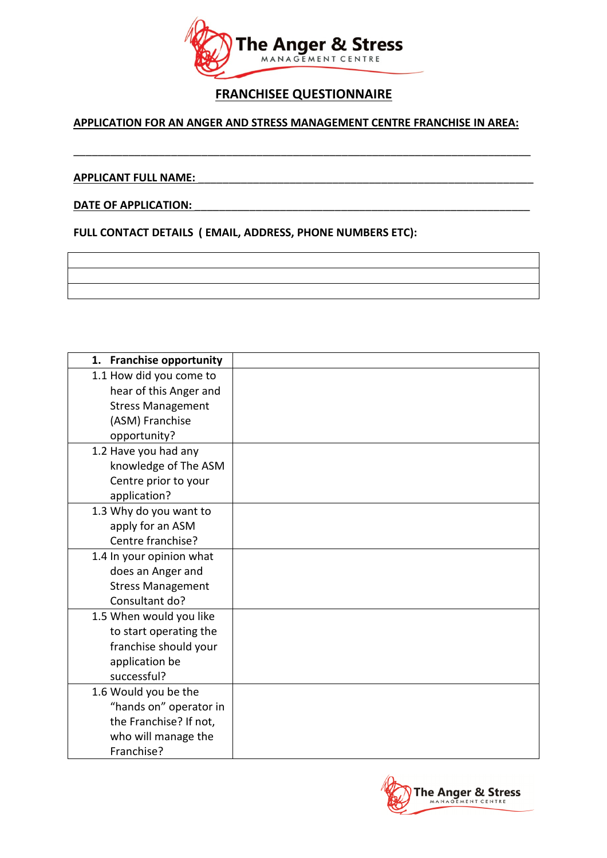

## FRANCHISEE QUESTIONNAIRE

## APPLICATION FOR AN ANGER AND STRESS MANAGEMENT CENTRE FRANCHISE IN AREA:

\_\_\_\_\_\_\_\_\_\_\_\_\_\_\_\_\_\_\_\_\_\_\_\_\_\_\_\_\_\_\_\_\_\_\_\_\_\_\_\_\_\_\_\_\_\_\_\_\_\_\_\_\_\_\_\_\_\_\_\_\_\_\_\_\_\_\_\_\_\_\_\_\_\_\_

## APPLICANT FULL NAME:

## DATE OF APPLICATION:

FULL CONTACT DETAILS ( EMAIL, ADDRESS, PHONE NUMBERS ETC):

| <b>Franchise opportunity</b><br>1. |  |
|------------------------------------|--|
| 1.1 How did you come to            |  |
| hear of this Anger and             |  |
| <b>Stress Management</b>           |  |
| (ASM) Franchise                    |  |
| opportunity?                       |  |
| 1.2 Have you had any               |  |
| knowledge of The ASM               |  |
| Centre prior to your               |  |
| application?                       |  |
| 1.3 Why do you want to             |  |
| apply for an ASM                   |  |
| Centre franchise?                  |  |
| 1.4 In your opinion what           |  |
| does an Anger and                  |  |
| <b>Stress Management</b>           |  |
| Consultant do?                     |  |
| 1.5 When would you like            |  |
| to start operating the             |  |
| franchise should your              |  |
| application be                     |  |
| successful?                        |  |
| 1.6 Would you be the               |  |
| "hands on" operator in             |  |
| the Franchise? If not,             |  |
| who will manage the                |  |
| Franchise?                         |  |

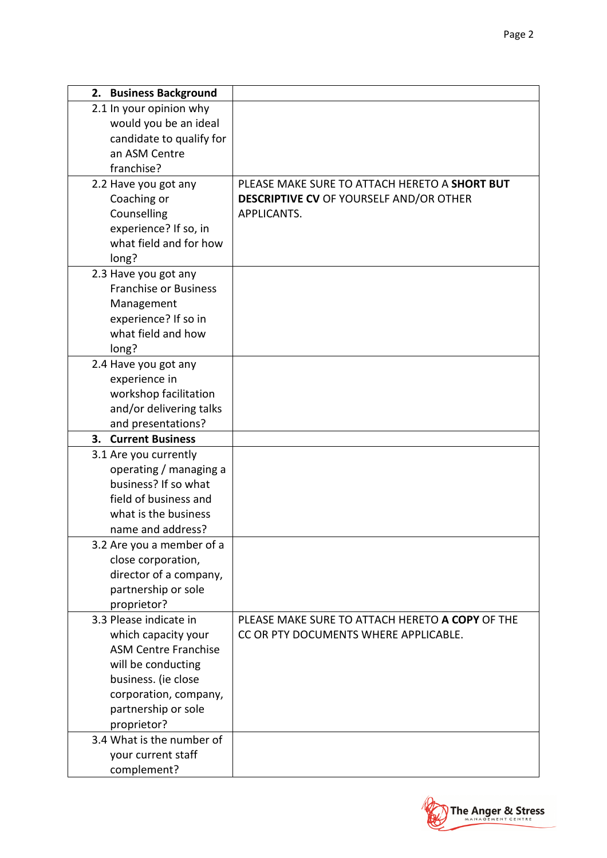| 2. Business Background       |                                                 |
|------------------------------|-------------------------------------------------|
| 2.1 In your opinion why      |                                                 |
| would you be an ideal        |                                                 |
| candidate to qualify for     |                                                 |
| an ASM Centre                |                                                 |
| franchise?                   |                                                 |
| 2.2 Have you got any         | PLEASE MAKE SURE TO ATTACH HERETO A SHORT BUT   |
| Coaching or                  | <b>DESCRIPTIVE CV OF YOURSELF AND/OR OTHER</b>  |
| Counselling                  | APPLICANTS.                                     |
| experience? If so, in        |                                                 |
| what field and for how       |                                                 |
| long?                        |                                                 |
| 2.3 Have you got any         |                                                 |
| <b>Franchise or Business</b> |                                                 |
| Management                   |                                                 |
| experience? If so in         |                                                 |
| what field and how           |                                                 |
| long?                        |                                                 |
| 2.4 Have you got any         |                                                 |
| experience in                |                                                 |
| workshop facilitation        |                                                 |
| and/or delivering talks      |                                                 |
| and presentations?           |                                                 |
| 3. Current Business          |                                                 |
| 3.1 Are you currently        |                                                 |
| operating / managing a       |                                                 |
| business? If so what         |                                                 |
| field of business and        |                                                 |
| what is the business         |                                                 |
| name and address?            |                                                 |
| 3.2 Are you a member of a    |                                                 |
| close corporation,           |                                                 |
| director of a company,       |                                                 |
| partnership or sole          |                                                 |
| proprietor?                  |                                                 |
| 3.3 Please indicate in       | PLEASE MAKE SURE TO ATTACH HERETO A COPY OF THE |
| which capacity your          | CC OR PTY DOCUMENTS WHERE APPLICABLE.           |
| <b>ASM Centre Franchise</b>  |                                                 |
| will be conducting           |                                                 |
| business. (ie close          |                                                 |
| corporation, company,        |                                                 |
| partnership or sole          |                                                 |
| proprietor?                  |                                                 |
| 3.4 What is the number of    |                                                 |
| your current staff           |                                                 |
| complement?                  |                                                 |

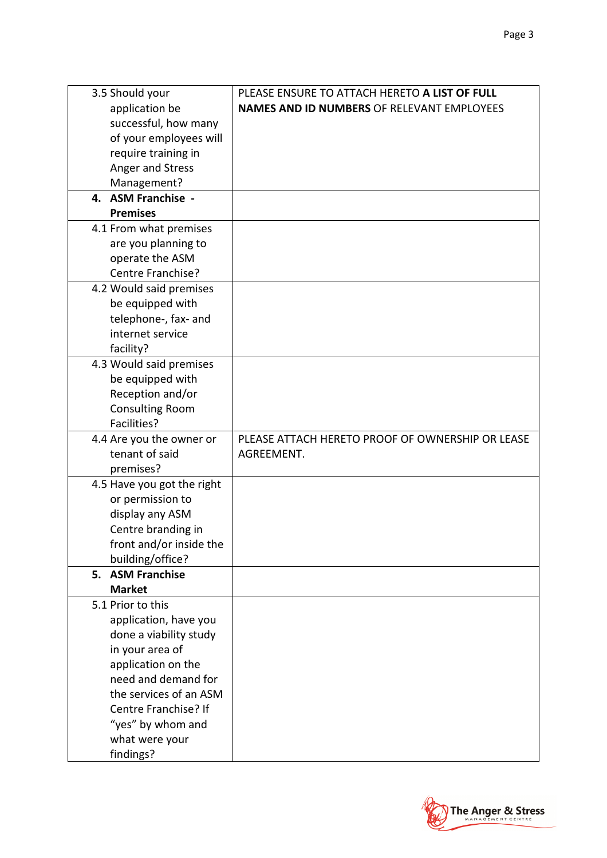| 3.5 Should your            | PLEASE ENSURE TO ATTACH HERETO A LIST OF FULL     |
|----------------------------|---------------------------------------------------|
| application be             | <b>NAMES AND ID NUMBERS OF RELEVANT EMPLOYEES</b> |
| successful, how many       |                                                   |
| of your employees will     |                                                   |
| require training in        |                                                   |
| Anger and Stress           |                                                   |
| Management?                |                                                   |
| 4. ASM Franchise -         |                                                   |
| <b>Premises</b>            |                                                   |
| 4.1 From what premises     |                                                   |
| are you planning to        |                                                   |
| operate the ASM            |                                                   |
| Centre Franchise?          |                                                   |
| 4.2 Would said premises    |                                                   |
| be equipped with           |                                                   |
| telephone-, fax- and       |                                                   |
| internet service           |                                                   |
| facility?                  |                                                   |
| 4.3 Would said premises    |                                                   |
| be equipped with           |                                                   |
| Reception and/or           |                                                   |
| <b>Consulting Room</b>     |                                                   |
| Facilities?                |                                                   |
| 4.4 Are you the owner or   | PLEASE ATTACH HERETO PROOF OF OWNERSHIP OR LEASE  |
| tenant of said             | AGREEMENT.                                        |
| premises?                  |                                                   |
| 4.5 Have you got the right |                                                   |
| or permission to           |                                                   |
| display any ASM            |                                                   |
| Centre branding in         |                                                   |
| front and/or inside the    |                                                   |
| building/office?           |                                                   |
| 5. ASM Franchise           |                                                   |
| <b>Market</b>              |                                                   |
| 5.1 Prior to this          |                                                   |
| application, have you      |                                                   |
| done a viability study     |                                                   |
| in your area of            |                                                   |
| application on the         |                                                   |
| need and demand for        |                                                   |
| the services of an ASM     |                                                   |
| Centre Franchise? If       |                                                   |
| "yes" by whom and          |                                                   |
| what were your             |                                                   |
| findings?                  |                                                   |